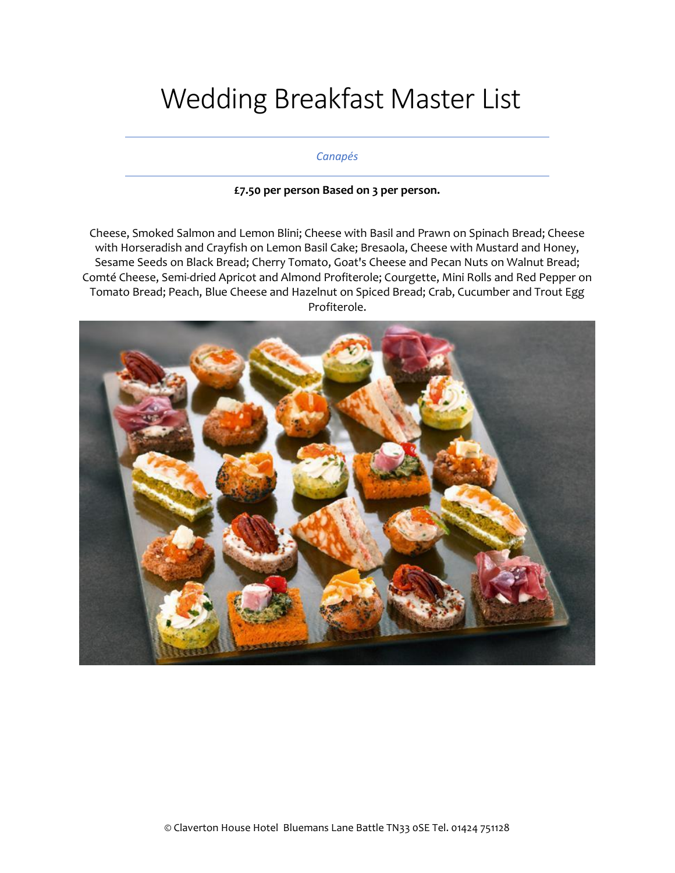# Wedding Breakfast Master List

## *Canapés*

# **£7.50 per person Based on 3 per person.**

Cheese, Smoked Salmon and Lemon Blini; Cheese with Basil and Prawn on Spinach Bread; Cheese with Horseradish and Crayfish on Lemon Basil Cake; Bresaola, Cheese with Mustard and Honey, Sesame Seeds on Black Bread; Cherry Tomato, Goat's Cheese and Pecan Nuts on Walnut Bread; Comté Cheese, Semi-dried Apricot and Almond Profiterole; Courgette, Mini Rolls and Red Pepper on Tomato Bread; Peach, Blue Cheese and Hazelnut on Spiced Bread; Crab, Cucumber and Trout Egg Profiterole.

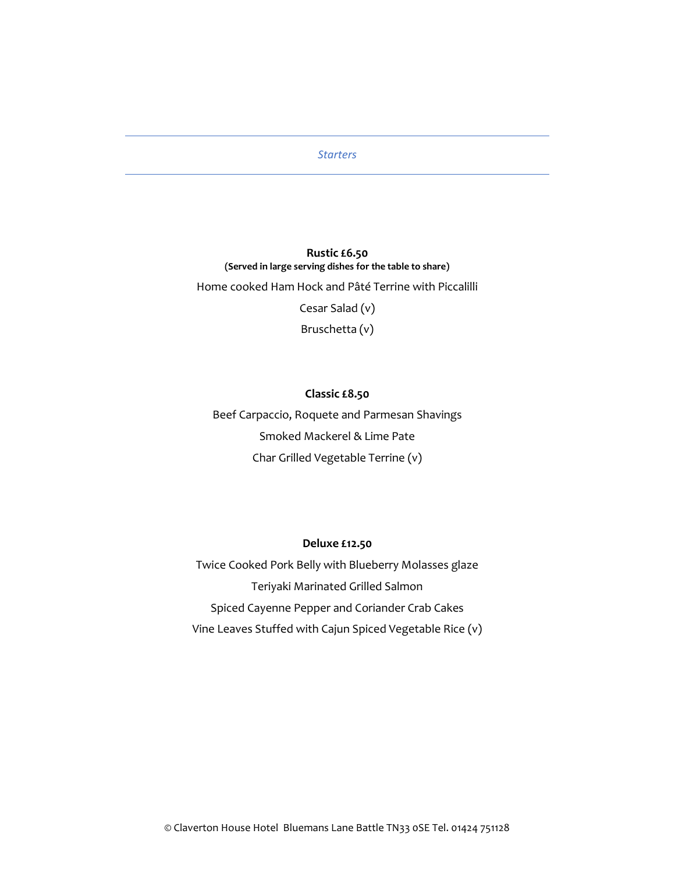## *Starters*

# **Rustic £6.50 (Served in large serving dishes for the table to share)**

Home cooked Ham Hock and Pâté Terrine with Piccalilli

Cesar Salad (v)

Bruschetta (v)

# **Classic £8.50**

Beef Carpaccio, Roquete and Parmesan Shavings Smoked Mackerel & Lime Pate Char Grilled Vegetable Terrine (v)

#### **Deluxe £12.50**

Twice Cooked Pork Belly with Blueberry Molasses glaze Teriyaki Marinated Grilled Salmon Spiced Cayenne Pepper and Coriander Crab Cakes Vine Leaves Stuffed with Cajun Spiced Vegetable Rice (v)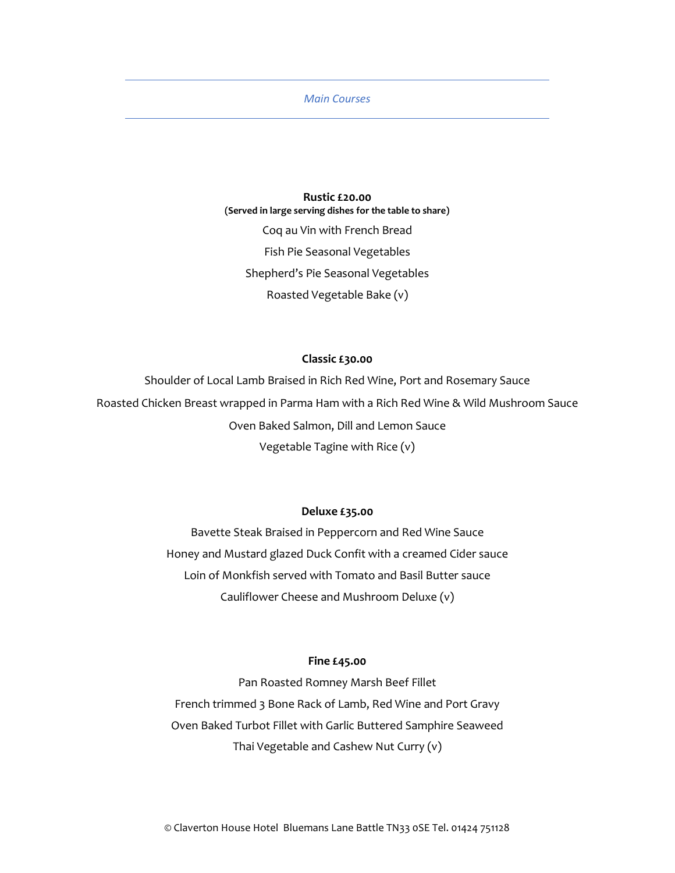## *Main Courses*

**Rustic £20.00 (Served in large serving dishes for the table to share)** Coq au Vin with French Bread Fish Pie Seasonal Vegetables Shepherd's Pie Seasonal Vegetables Roasted Vegetable Bake (v)

# **Classic £30.00**

Shoulder of Local Lamb Braised in Rich Red Wine, Port and Rosemary Sauce Roasted Chicken Breast wrapped in Parma Ham with a Rich Red Wine & Wild Mushroom Sauce Oven Baked Salmon, Dill and Lemon Sauce Vegetable Tagine with Rice (v)

## **Deluxe £35.00**

Bavette Steak Braised in Peppercorn and Red Wine Sauce Honey and Mustard glazed Duck Confit with a creamed Cider sauce Loin of Monkfish served with Tomato and Basil Butter sauce Cauliflower Cheese and Mushroom Deluxe (v)

## **Fine £45.00**

Pan Roasted Romney Marsh Beef Fillet French trimmed 3 Bone Rack of Lamb, Red Wine and Port Gravy Oven Baked Turbot Fillet with Garlic Buttered Samphire Seaweed Thai Vegetable and Cashew Nut Curry (v)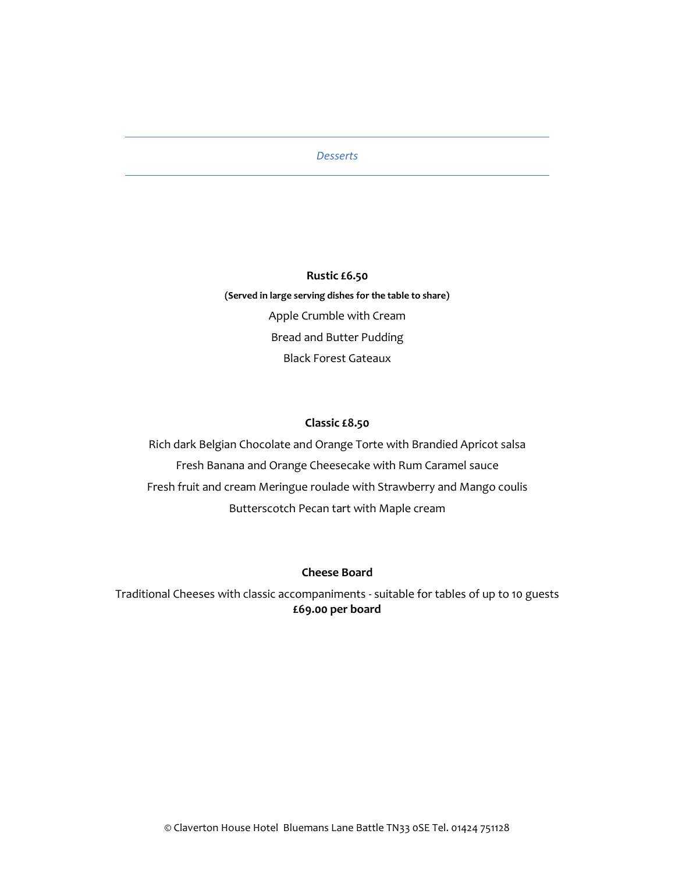## *Desserts*

# **Rustic £6.50**

**(Served in large serving dishes for the table to share)** Apple Crumble with Cream Bread and Butter Pudding Black Forest Gateaux

## **Classic £8.50**

Rich dark Belgian Chocolate and Orange Torte with Brandied Apricot salsa Fresh Banana and Orange Cheesecake with Rum Caramel sauce Fresh fruit and cream Meringue roulade with Strawberry and Mango coulis Butterscotch Pecan tart with Maple cream

# **Cheese Board**

Traditional Cheeses with classic accompaniments - suitable for tables of up to 10 guests **£69.00 per board**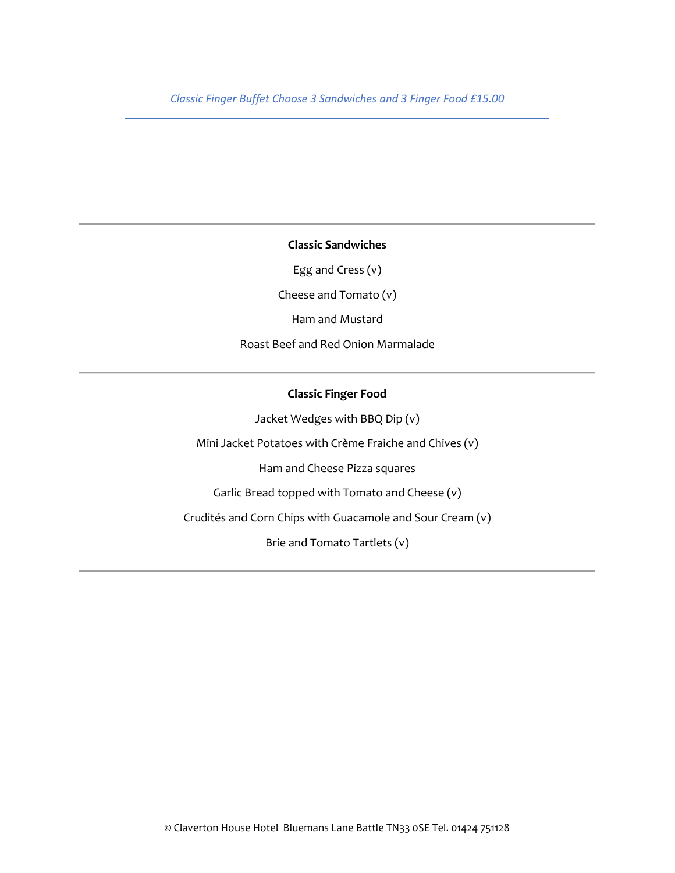*Classic Finger Buffet Choose 3 Sandwiches and 3 Finger Food £15.00*

**Classic Sandwiches**

Egg and Cress (v)

Cheese and Tomato (v)

Ham and Mustard

Roast Beef and Red Onion Marmalade

# **Classic Finger Food**

Jacket Wedges with BBQ Dip (v)

Mini Jacket Potatoes with Crème Fraiche and Chives (v)

Ham and Cheese Pizza squares

Garlic Bread topped with Tomato and Cheese (v)

Crudités and Corn Chips with Guacamole and Sour Cream (v)

Brie and Tomato Tartlets (v)

© Claverton House Hotel Bluemans Lane Battle TN33 0SE Tel. 01424 751128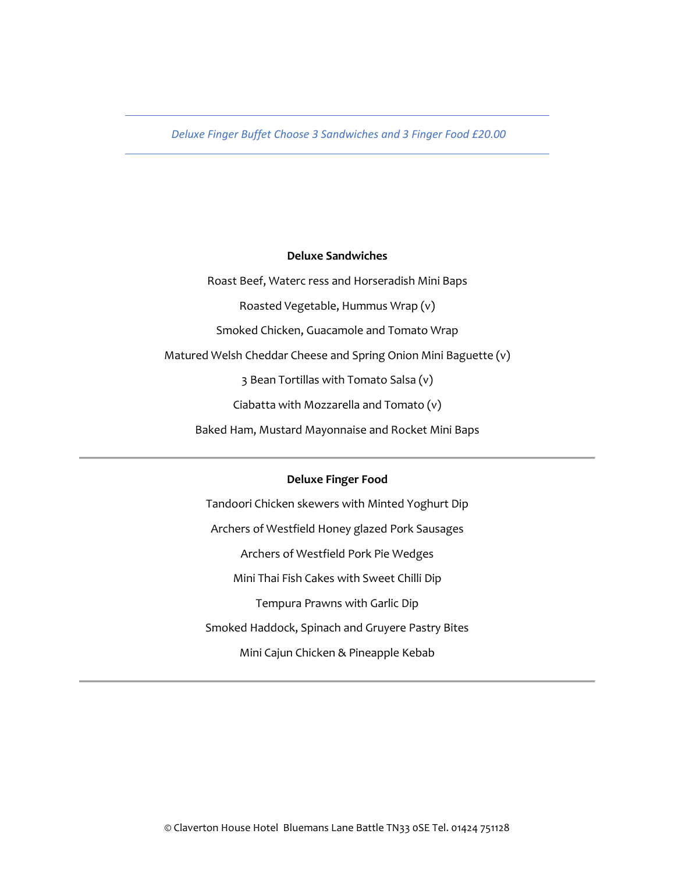*Deluxe Finger Buffet Choose 3 Sandwiches and 3 Finger Food £20.00*

# **Deluxe Sandwiches**

Roast Beef, Waterc ress and Horseradish Mini Baps Roasted Vegetable, Hummus Wrap (v) Smoked Chicken, Guacamole and Tomato Wrap Matured Welsh Cheddar Cheese and Spring Onion Mini Baguette (v) 3 Bean Tortillas with Tomato Salsa (v) Ciabatta with Mozzarella and Tomato (v) Baked Ham, Mustard Mayonnaise and Rocket Mini Baps

## **Deluxe Finger Food**

Tandoori Chicken skewers with Minted Yoghurt Dip Archers of Westfield Honey glazed Pork Sausages Archers of Westfield Pork Pie Wedges Mini Thai Fish Cakes with Sweet Chilli Dip Tempura Prawns with Garlic Dip Smoked Haddock, Spinach and Gruyere Pastry Bites Mini Cajun Chicken & Pineapple Kebab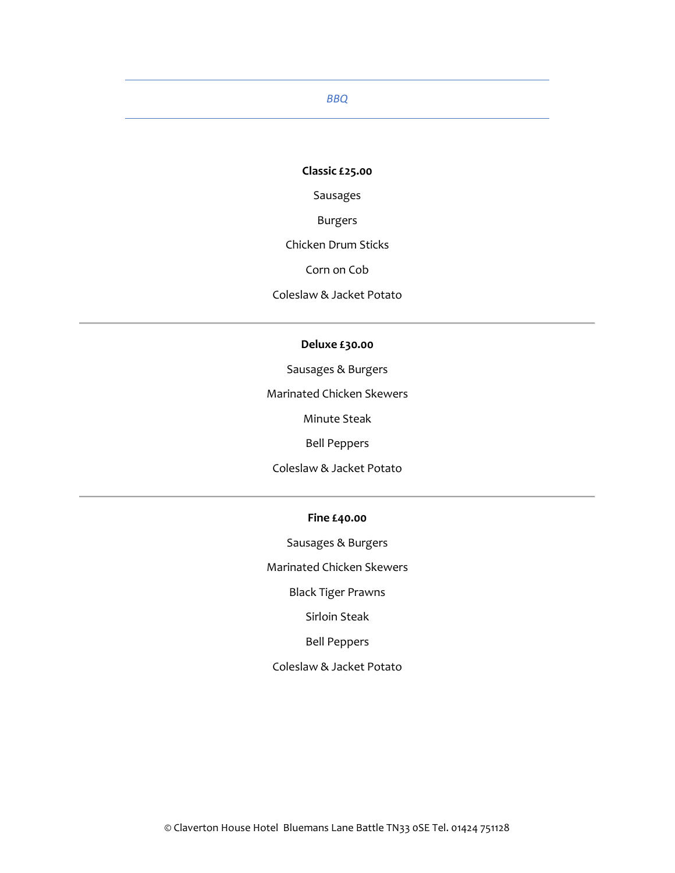# *BBQ*

# **Classic £25.00**

Sausages

Burgers

Chicken Drum Sticks

Corn on Cob

Coleslaw & Jacket Potato

## **Deluxe £30.00**

Sausages & Burgers

Marinated Chicken Skewers

Minute Steak

Bell Peppers

Coleslaw & Jacket Potato

# **Fine £40.00**

Sausages & Burgers

Marinated Chicken Skewers

Black Tiger Prawns

Sirloin Steak

Bell Peppers

## Coleslaw & Jacket Potato